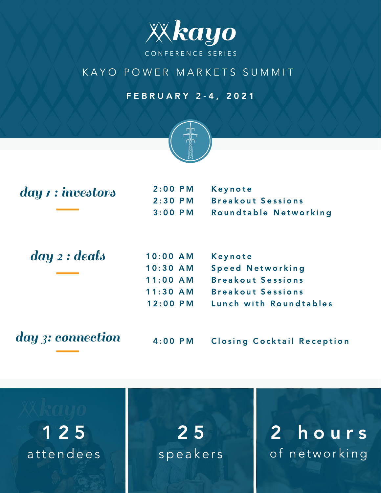

## K A Y O P O W E R M A R K E T S S U M M I T

## F E B R U A R Y 2 - 4 , 2 0 2 1



| day 1 : investors | $2:00$ PM  | Keynote                           |
|-------------------|------------|-----------------------------------|
|                   | $2:30$ PM  | <b>Breakout Sessions</b>          |
|                   | $3:00$ PM  | Roundtable Networking             |
|                   |            |                                   |
| day 2 : deals     | $10:00$ AM | Keynote                           |
|                   | $10:30$ AM | <b>Speed Networking</b>           |
|                   | $11:00$ AM | <b>Breakout Sessions</b>          |
|                   | $11:30$ AM | <b>Breakout Sessions</b>          |
|                   | $12:00$ PM | Lunch with Roundtables            |
| day 3: connection | $4:00$ PM  | <b>Closing Cocktail Reception</b> |
|                   |            |                                   |

1 2 5 2 5 2 h o u r s attendees speakers of networking